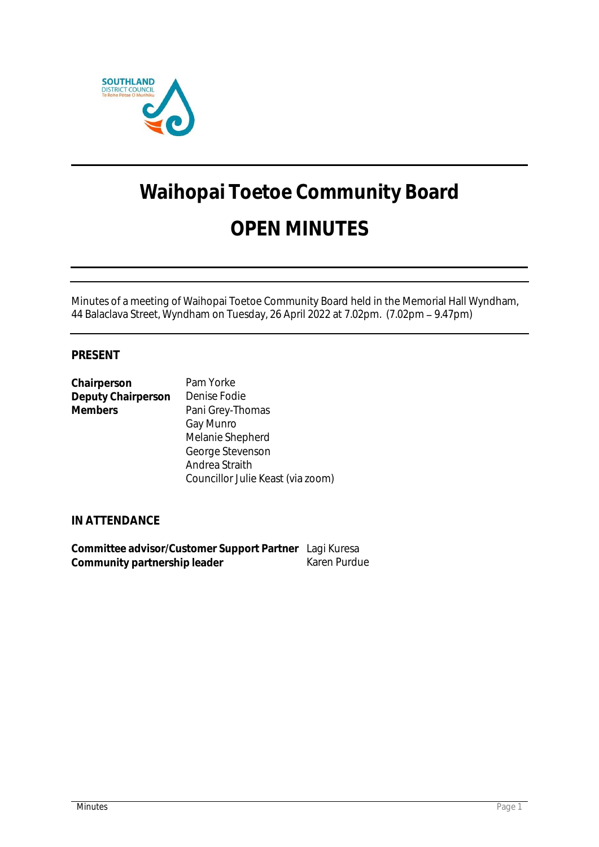

# **Waihopai Toetoe Community Board OPEN MINUTES**

Minutes of a meeting of Waihopai Toetoe Community Board held in the Memorial Hall Wyndham, 44 Balaclava Street, Wyndham on Tuesday, 26 April 2022 at 7.02pm. (7.02pm - 9.47pm)

# **PRESENT**

| Chairperson        | Pam Yorke                         |
|--------------------|-----------------------------------|
| Deputy Chairperson | Denise Fodie                      |
| Members            | Pani Grey-Thomas                  |
|                    | Gay Munro                         |
|                    | Melanie Shepherd                  |
|                    | George Stevenson                  |
|                    | Andrea Straith                    |
|                    | Councillor Julie Keast (via zoom) |

**IN ATTENDANCE**

**Committee advisor/Customer Support Partner** Lagi Kuresa **Community partnership leader**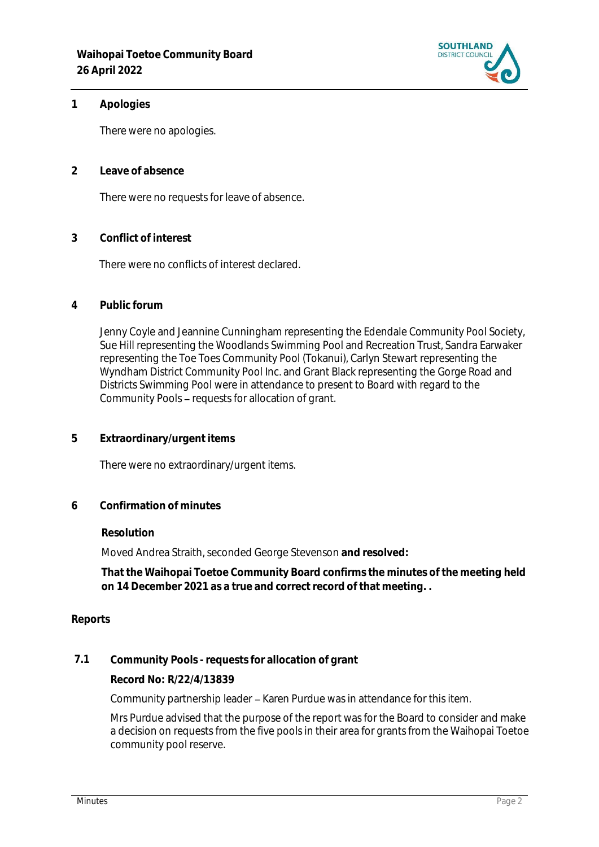

### **1 Apologies**

There were no apologies.

**2 Leave of absence** 

There were no requests for leave of absence.

**3 Conflict of interest**

There were no conflicts of interest declared.

**4 Public forum**

Jenny Coyle and Jeannine Cunningham representing the Edendale Community Pool Society, Sue Hill representing the Woodlands Swimming Pool and Recreation Trust, Sandra Earwaker representing the Toe Toes Community Pool (Tokanui), Carlyn Stewart representing the Wyndham District Community Pool Inc. and Grant Black representing the Gorge Road and Districts Swimming Pool were in attendance to present to Board with regard to the Community Pools - requests for allocation of grant.

**5 Extraordinary/urgent items**

There were no extraordinary/urgent items.

**6 Confirmation of minutes**

#### **Resolution**

Moved Andrea Straith, seconded George Stevenson **and resolved:**

**That the Waihopai Toetoe Community Board confirms the minutes of the meeting held on 14 December 2021 as a true and correct record of that meeting. .**

#### **Reports**

**7.1 Community Pools - requests for allocation of grant**

**Record No: R/22/4/13839**

Community partnership leader - Karen Purdue was in attendance for this item.

Mrs Purdue advised that the purpose of the report was for the Board to consider and make a decision on requests from the five pools in their area for grants from the Waihopai Toetoe community pool reserve.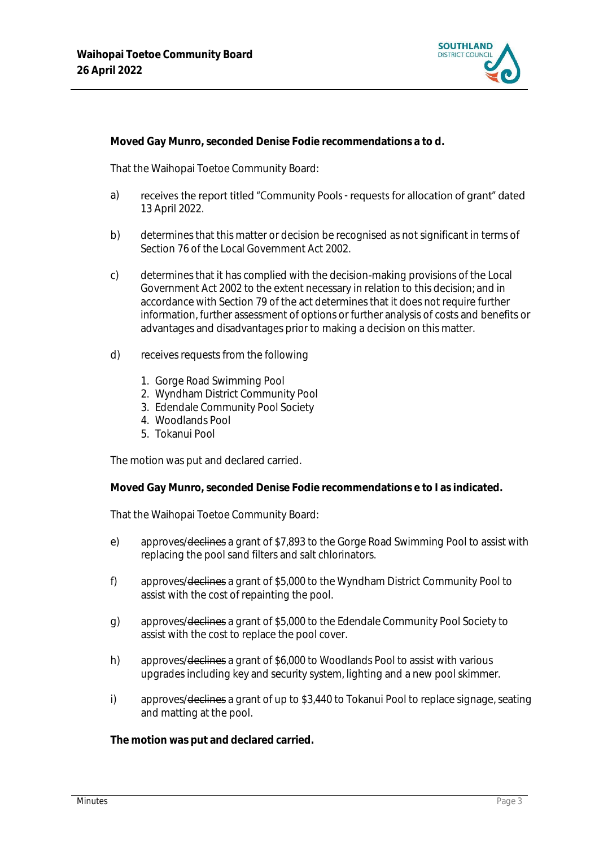

**Moved Gay Munro, seconded Denise Fodie recommendations a to d.**

That the Waihopai Toetoe Community Board:

- a) receives the report titled "Community Pools requests for allocation of grant" dated 13 April 2022.
- b) determines that this matter or decision be recognised as not significant in terms of Section 76 of the Local Government Act 2002.
- c) determines that it has complied with the decision-making provisions of the Local Government Act 2002 to the extent necessary in relation to this decision; and in accordance with Section 79 of the act determines that it does not require further information, further assessment of options or further analysis of costs and benefits or advantages and disadvantages prior to making a decision on this matter.
- d) receives requests from the following
	- 1. Gorge Road Swimming Pool
	- 2. Wyndham District Community Pool
	- 3. Edendale Community Pool Society
	- 4. Woodlands Pool
	- 5. Tokanui Pool

The motion was put and declared carried.

**Moved Gay Munro, seconded Denise Fodie recommendations e to I as indicated.**

That the Waihopai Toetoe Community Board:

- e) approves/declines a grant of \$7,893 to the Gorge Road Swimming Pool to assist with replacing the pool sand filters and salt chlorinators.
- f) approves/declines a grant of \$5,000 to the Wyndham District Community Pool to assist with the cost of repainting the pool.
- g) approves/declines a grant of \$5,000 to the Edendale Community Pool Society to assist with the cost to replace the pool cover.
- h) approves/declines a grant of \$6,000 to Woodlands Pool to assist with various upgrades including key and security system, lighting and a new pool skimmer.
- i) approves/<del>declines</del> a grant of up to \$3,440 to Tokanui Pool to replace signage, seating and matting at the pool.

**The motion was put and declared carried.**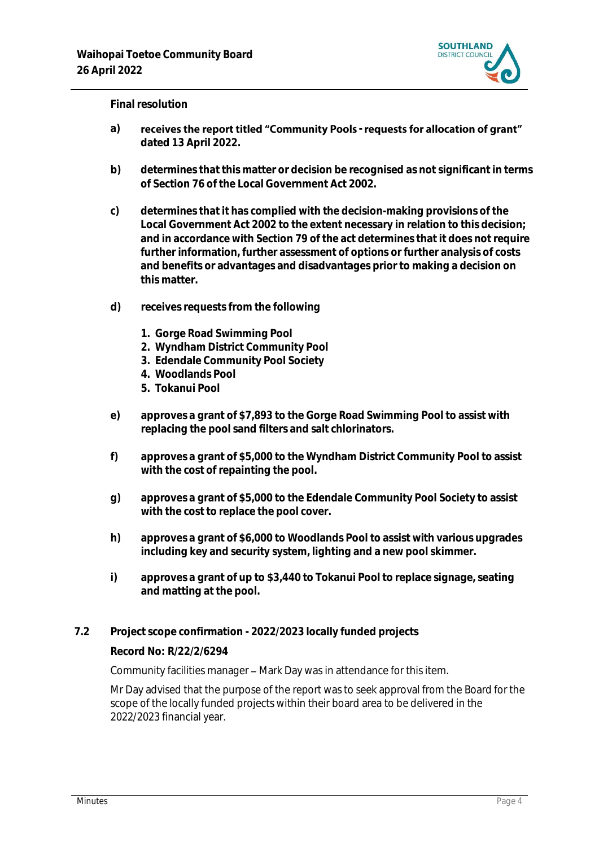

#### **Final resolution**

- a) receives the report titled "Community Pools requests for allocation of grant" **dated 13 April 2022.**
- **b) determines that this matter or decision be recognised as not significant in terms of Section 76 of the Local Government Act 2002.**
- **c) determines that it has complied with the decision-making provisions of the Local Government Act 2002 to the extent necessary in relation to this decision; and in accordance with Section 79 of the act determines that it does not require further information, further assessment of options or further analysis of costs and benefits or advantages and disadvantages prior to making a decision on this matter.**
- **d) receives requests from the following**
	- **1. Gorge Road Swimming Pool**
	- **2. Wyndham District Community Pool**
	- **3. Edendale Community Pool Society**
	- **4. Woodlands Pool**
	- **5. Tokanui Pool**
- **e) approves a grant of \$7,893 to the Gorge Road Swimming Pool to assist with replacing the pool sand filters and salt chlorinators.**
- **f) approves a grant of \$5,000 to the Wyndham District Community Pool to assist with the cost of repainting the pool.**
- **g) approves a grant of \$5,000 to the Edendale Community Pool Society to assist with the cost to replace the pool cover.**
- **h) approves a grant of \$6,000 to Woodlands Pool to assist with various upgrades including key and security system, lighting and a new pool skimmer.**
- **i) approves a grant of up to \$3,440 to Tokanui Pool to replace signage, seating and matting at the pool.**
- **7.2 Project scope confirmation - 2022/2023 locally funded projects**

#### **Record No: R/22/2/6294**

Community facilities manager - Mark Day was in attendance for this item.

1 Mr Day advised that the purpose of the report was to seek approval from the Board for the scope of the locally funded projects within their board area to be delivered in the 2022/2023 financial year.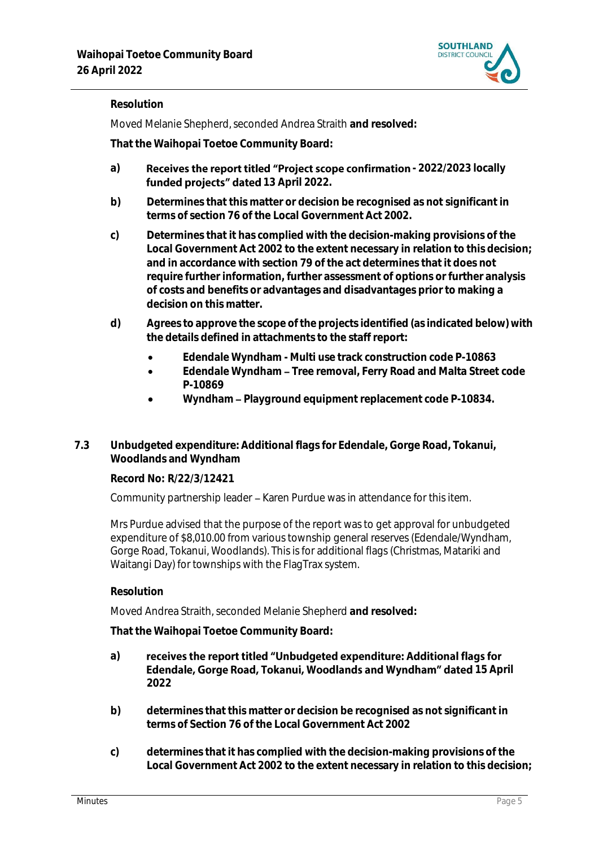

# **Resolution**

Moved Melanie Shepherd, seconded Andrea Straith **and resolved:**

**That the Waihopai Toetoe Community Board:**

- a) **Receives the report titled "Project scope confirmation 2022/2023 locally** funded projects" dated 13 April 2022.
- **b) Determines that this matter or decision be recognised as not significant in terms of section 76 of the Local Government Act 2002.**
- **c) Determines that it has complied with the decision-making provisions of the Local Government Act 2002 to the extent necessary in relation to this decision; and in accordance with section 79 of the act determines that it does not require further information, further assessment of options or further analysis of costs and benefits or advantages and disadvantages prior to making a decision on this matter.**
- **d) Agrees to approve the scope of the projects identified (as indicated below) with the details defined in attachments to the staff report:**
	- **Edendale Wyndham - Multi use track construction code P-10863**
	- **Edendale Wyndham Tree removal, Ferry Road and Malta Street code P-10869**
	- **Wyndham Playground equipment replacement code P-10834.**
- **7.3 Unbudgeted expenditure: Additional flags for Edendale, Gorge Road, Tokanui, Woodlands and Wyndham**

**Record No: R/22/3/12421**

Community partnership leader - Karen Purdue was in attendance for this item.

Mrs Purdue advised that the purpose of the report was to get approval for unbudgeted expenditure of \$8,010.00 from various township general reserves (Edendale/Wyndham, Gorge Road, Tokanui, Woodlands). This is for additional flags (Christmas, Matariki and Waitangi Day) for townships with the FlagTrax system.

**Resolution**

Moved Andrea Straith, seconded Melanie Shepherd **and resolved:**

**That the Waihopai Toetoe Community Board:**

- receives the report titled "Unbudgeted expenditure: Additional flags for **a) Edendale, Gorge Road, Tokanui, Woodlands and Wyndham" dated 15 April 2022**
- **b) determines that this matter or decision be recognised as not significant in terms of Section 76 of the Local Government Act 2002**
- **c) determines that it has complied with the decision-making provisions of the Local Government Act 2002 to the extent necessary in relation to this decision;**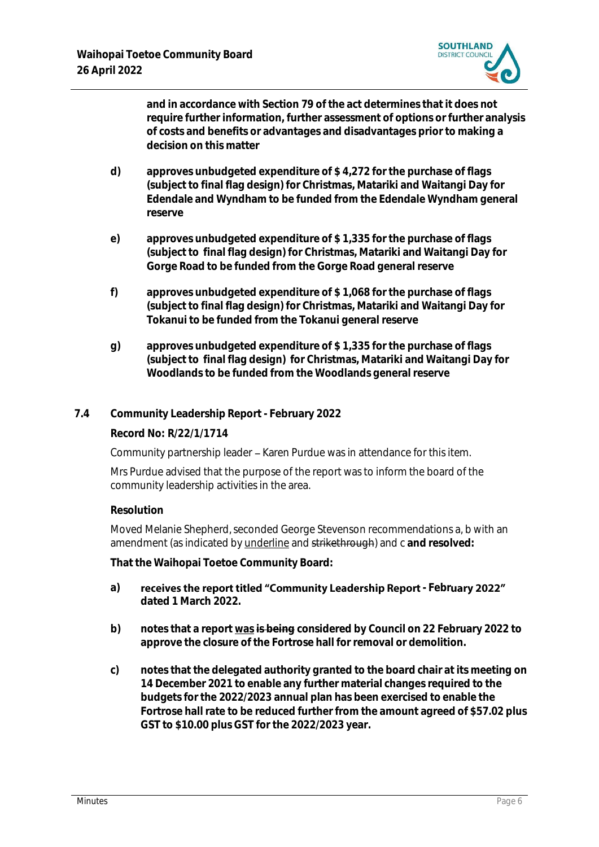

**and in accordance with Section 79 of the act determines that it does not require further information, further assessment of options or further analysis of costs and benefits or advantages and disadvantages prior to making a decision on this matter**

- **d) approves unbudgeted expenditure of \$ 4,272 for the purchase of flags (subject to final flag design) for Christmas, Matariki and Waitangi Day for Edendale and Wyndham to be funded from the Edendale Wyndham general reserve**
- **e) approves unbudgeted expenditure of \$ 1,335 for the purchase of flags (subject to final flag design) for Christmas, Matariki and Waitangi Day for Gorge Road to be funded from the Gorge Road general reserve**
- **f) approves unbudgeted expenditure of \$ 1,068 for the purchase of flags (subject to final flag design) for Christmas, Matariki and Waitangi Day for Tokanui to be funded from the Tokanui general reserve**
- **g) approves unbudgeted expenditure of \$ 1,335 for the purchase of flags (subject to final flag design) for Christmas, Matariki and Waitangi Day for Woodlands to be funded from the Woodlands general reserve**

# **7.4 Community Leadership Report - February 2022**

**Record No: R/22/1/1714**

Community partnership leader - Karen Purdue was in attendance for this item.

Mrs Purdue advised that the purpose of the report was to inform the board of the community leadership activities in the area.

# **Resolution**

Moved Melanie Shepherd, seconded George Stevenson recommendations a, b with an amendment (as indicated by underline and strikethrough) and c **and resolved:**

**That the Waihopai Toetoe Community Board:**

- a) receives the report titled "Community Leadership Report February 2022" **dated 1 March 2022.**
- **b) notes that a report was is being considered by Council on 22 February 2022 to approve the closure of the Fortrose hall for removal or demolition.**
- **c) notes that the delegated authority granted to the board chair at its meeting on 14 December 2021 to enable any further material changes required to the budgets for the 2022/2023 annual plan has been exercised to enable the Fortrose hall rate to be reduced further from the amount agreed of \$57.02 plus GST to \$10.00 plus GST for the 2022/2023 year.**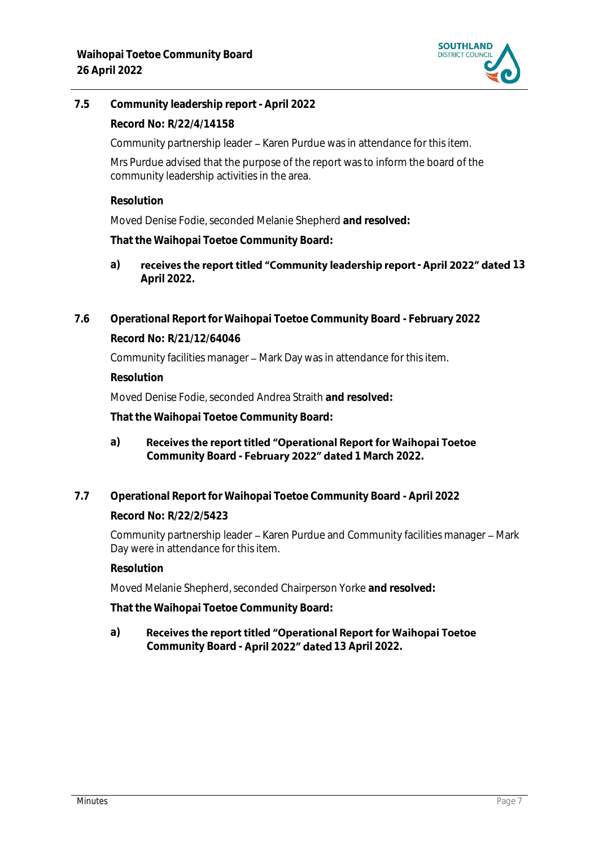

**7.5 Community leadership report - April 2022**

**Record No: R/22/4/14158**

Community partnership leader – Karen Purdue was in attendance for this item.

Mrs Purdue advised that the purpose of the report was to inform the board of the community leadership activities in the area.

**Resolution**

Moved Denise Fodie, seconded Melanie Shepherd **and resolved:**

**That the Waihopai Toetoe Community Board:**

- a) receives the report titled "Community leadership report April 2022" dated 13 **April 2022.**
- **7.6 Operational Report for Waihopai Toetoe Community Board - February 2022 Record No: R/21/12/64046**

Community facilities manager – Mark Day was in attendance for this item.

**Resolution**

Moved Denise Fodie, seconded Andrea Straith **and resolved:**

**That the Waihopai Toetoe Community Board:**

- **a)** Receives the report titled "Operational Report for Waihopai Toetoe Community Board - February 2022" dated 1 March 2022.
- **7.7 Operational Report for Waihopai Toetoe Community Board - April 2022**

**Record No: R/22/2/5423**

Community partnership leader – Karen Purdue and Community facilities manager – Mark Day were in attendance for this item.

**Resolution**

Moved Melanie Shepherd, seconded Chairperson Yorke **and resolved:**

**That the Waihopai Toetoe Community Board:**

**a)** Receives the report titled "Operational Report for Waihopai Toetoe Community Board - **April 2022" dated** 13 April 2022.